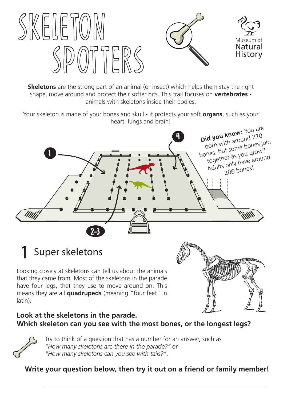

**Skeletons** are the strong part of an animal (or insect) which helps them stay the right shape, move around and protect their softer bits. This trail focuses on **vertebrates** animals with skeletons inside their bodies.

Your skeleton is made of your bones and skull - it protects your soft **organs**, such as your heart, lungs and brain!



# Super skeletons 1

Looking closely at skeletons can tell us about the animals that they came from. Most of the skeletons in the parade have four legs, that they use to move around on. This means they are all **quadrupeds** (meaning "four feet" in latin).



### **Look at the skeletons in the parade. Which skeleton can you see with the most bones, or the longest legs?**



Try to think of a question that has a number for an answer, such as *"How many skeletons are there in the parade?"* or *"How many skeletons can you see with tails?"*.

**Write your question below, then try it out on a friend or family member!**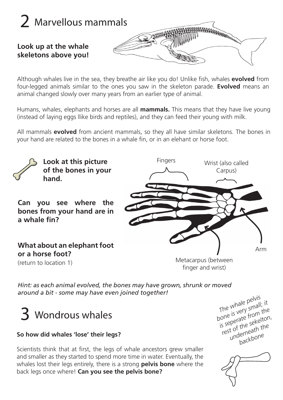

Although whales live in the sea, they breathe air like you do! Unlike fish, whales **evolved** from four-legged animals similar to the ones you saw in the skeleton parade. **Evolved** means an animal changed slowly over many years from an earlier type of animal.

Humans, whales, elephants and horses are all **mammals.** This means that they have live young (instead of laying eggs llike birds and reptiles), and they can feed their young with milk.

All mammals **evolved** from ancient mammals, so they all have similar skeletons. The bones in your hand are related to the bones in a whale fin, or in an elehant or horse foot.



*Hint: as each animal evolved, the bones may have grown, shrunk or moved around a bit - some may have even joined together!*



#### **So how did whales 'lose' their legs?**

Scientists think that at first, the legs of whale ancestors grew smaller and smaller as they started to spend more time in water. Eventually, the whales lost their legs entirely, there is a strong **pelvis bone** where the back legs once where! **Can you see the pelvis bone?**

*The whale pelvis bone is very small; it is seperate from the*  rest of the sekelton, *underneath the backbone*

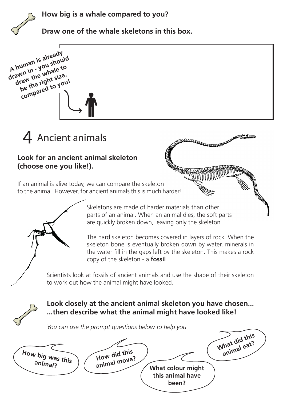**How big is a whale compared to you?** 



**Draw one of the whale skeletons in this box.** 

A human is already<br>A human is already A human is alreational should<br>drawn in - you should<br>drawn in the whale to A human is already<br>drawn in - you should<br>draw the whale to be the right size, compared to you!



### **Look for an ancient animal skeleton (choose one you like!).**

If an animal is alive today, we can compare the skeleton to the animal. However, for ancient animals this is much harder!



The hard skeleton becomes covered in layers of rock. When the skeleton bone is eventually broken down by water, minerals in the water fill in the gaps left by the skeleton. This makes a rock copy of the skeleton - a **fossil**.

A CONTRACTOR AND MANAGEMENT

The dealer

Scientists look at fossils of ancient animals and use the shape of their skeleton to work out how the animal might have looked.



## **Look closely at the ancient animal skeleton you have chosen... ...then describe what the animal might have looked like!**

*You can use the prompt questions below to help you*